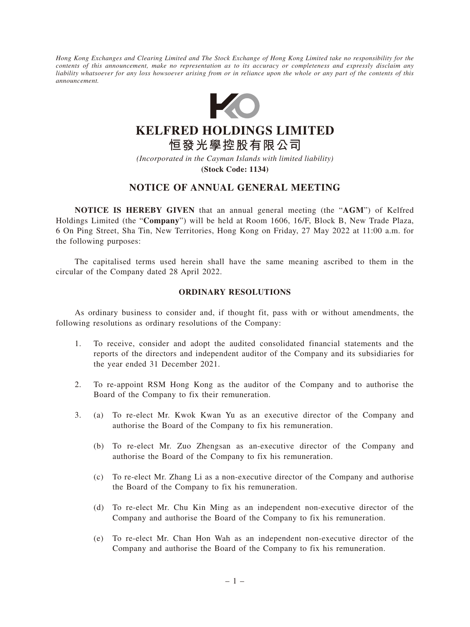*Hong Kong Exchanges and Clearing Limited and The Stock Exchange of Hong Kong Limited take no responsibility for the contents of this announcement, make no representation as to its accuracy or completeness and expressly disclaim any liability whatsoever for any loss howsoever arising from or in reliance upon the whole or any part of the contents of this announcement.*



**KELFRED HOLDINGS LIMITED 恒發光學控股有限公司**

*(Incorporated in the Cayman Islands with limited liability)*

**(Stock Code: 1134)**

# **NOTICE OF ANNUAL GENERAL MEETING**

**NOTICE IS HEREBY GIVEN** that an annual general meeting (the "**AGM**") of Kelfred Holdings Limited (the "**Company**") will be held at Room 1606, 16/F, Block B, New Trade Plaza, 6 On Ping Street, Sha Tin, New Territories, Hong Kong on Friday, 27 May 2022 at 11:00 a.m. for the following purposes:

The capitalised terms used herein shall have the same meaning ascribed to them in the circular of the Company dated 28 April 2022.

#### **ORDINARY RESOLUTIONS**

As ordinary business to consider and, if thought fit, pass with or without amendments, the following resolutions as ordinary resolutions of the Company:

- 1. To receive, consider and adopt the audited consolidated financial statements and the reports of the directors and independent auditor of the Company and its subsidiaries for the year ended 31 December 2021.
- 2. To re-appoint RSM Hong Kong as the auditor of the Company and to authorise the Board of the Company to fix their remuneration.
- 3. (a) To re-elect Mr. Kwok Kwan Yu as an executive director of the Company and authorise the Board of the Company to fix his remuneration.
	- (b) To re-elect Mr. Zuo Zhengsan as an-executive director of the Company and authorise the Board of the Company to fix his remuneration.
	- (c) To re-elect Mr. Zhang Li as a non-executive director of the Company and authorise the Board of the Company to fix his remuneration.
	- (d) To re-elect Mr. Chu Kin Ming as an independent non-executive director of the Company and authorise the Board of the Company to fix his remuneration.
	- (e) To re-elect Mr. Chan Hon Wah as an independent non-executive director of the Company and authorise the Board of the Company to fix his remuneration.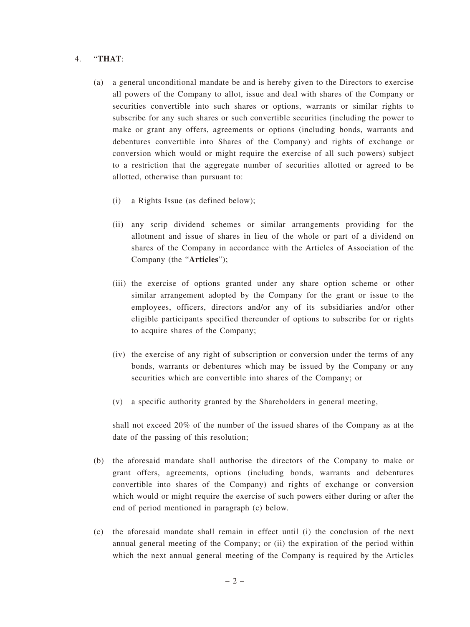### 4. "**THAT**:

- (a) a general unconditional mandate be and is hereby given to the Directors to exercise all powers of the Company to allot, issue and deal with shares of the Company or securities convertible into such shares or options, warrants or similar rights to subscribe for any such shares or such convertible securities (including the power to make or grant any offers, agreements or options (including bonds, warrants and debentures convertible into Shares of the Company) and rights of exchange or conversion which would or might require the exercise of all such powers) subject to a restriction that the aggregate number of securities allotted or agreed to be allotted, otherwise than pursuant to:
	- (i) a Rights Issue (as defined below);
	- (ii) any scrip dividend schemes or similar arrangements providing for the allotment and issue of shares in lieu of the whole or part of a dividend on shares of the Company in accordance with the Articles of Association of the Company (the "**Articles**");
	- (iii) the exercise of options granted under any share option scheme or other similar arrangement adopted by the Company for the grant or issue to the employees, officers, directors and/or any of its subsidiaries and/or other eligible participants specified thereunder of options to subscribe for or rights to acquire shares of the Company;
	- (iv) the exercise of any right of subscription or conversion under the terms of any bonds, warrants or debentures which may be issued by the Company or any securities which are convertible into shares of the Company; or
	- (v) a specific authority granted by the Shareholders in general meeting,

shall not exceed 20% of the number of the issued shares of the Company as at the date of the passing of this resolution;

- (b) the aforesaid mandate shall authorise the directors of the Company to make or grant offers, agreements, options (including bonds, warrants and debentures convertible into shares of the Company) and rights of exchange or conversion which would or might require the exercise of such powers either during or after the end of period mentioned in paragraph (c) below.
- (c) the aforesaid mandate shall remain in effect until (i) the conclusion of the next annual general meeting of the Company; or (ii) the expiration of the period within which the next annual general meeting of the Company is required by the Articles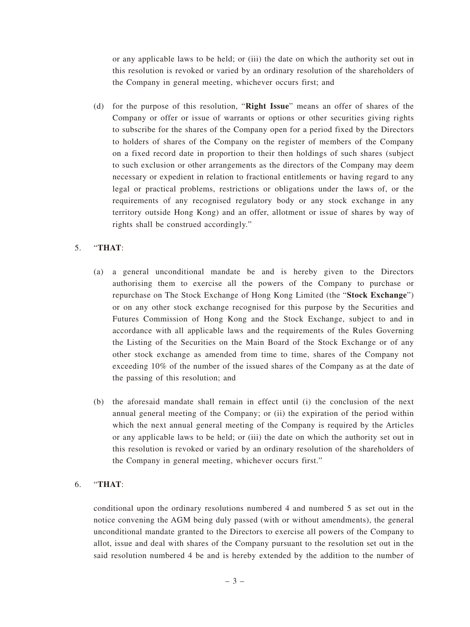or any applicable laws to be held; or (iii) the date on which the authority set out in this resolution is revoked or varied by an ordinary resolution of the shareholders of the Company in general meeting, whichever occurs first; and

(d) for the purpose of this resolution, "**Right Issue**" means an offer of shares of the Company or offer or issue of warrants or options or other securities giving rights to subscribe for the shares of the Company open for a period fixed by the Directors to holders of shares of the Company on the register of members of the Company on a fixed record date in proportion to their then holdings of such shares (subject to such exclusion or other arrangements as the directors of the Company may deem necessary or expedient in relation to fractional entitlements or having regard to any legal or practical problems, restrictions or obligations under the laws of, or the requirements of any recognised regulatory body or any stock exchange in any territory outside Hong Kong) and an offer, allotment or issue of shares by way of rights shall be construed accordingly."

## 5. "**THAT**:

- (a) a general unconditional mandate be and is hereby given to the Directors authorising them to exercise all the powers of the Company to purchase or repurchase on The Stock Exchange of Hong Kong Limited (the "**Stock Exchange**") or on any other stock exchange recognised for this purpose by the Securities and Futures Commission of Hong Kong and the Stock Exchange, subject to and in accordance with all applicable laws and the requirements of the Rules Governing the Listing of the Securities on the Main Board of the Stock Exchange or of any other stock exchange as amended from time to time, shares of the Company not exceeding 10% of the number of the issued shares of the Company as at the date of the passing of this resolution; and
- (b) the aforesaid mandate shall remain in effect until (i) the conclusion of the next annual general meeting of the Company; or (ii) the expiration of the period within which the next annual general meeting of the Company is required by the Articles or any applicable laws to be held; or (iii) the date on which the authority set out in this resolution is revoked or varied by an ordinary resolution of the shareholders of the Company in general meeting, whichever occurs first."

## 6. "**THAT**:

conditional upon the ordinary resolutions numbered 4 and numbered 5 as set out in the notice convening the AGM being duly passed (with or without amendments), the general unconditional mandate granted to the Directors to exercise all powers of the Company to allot, issue and deal with shares of the Company pursuant to the resolution set out in the said resolution numbered 4 be and is hereby extended by the addition to the number of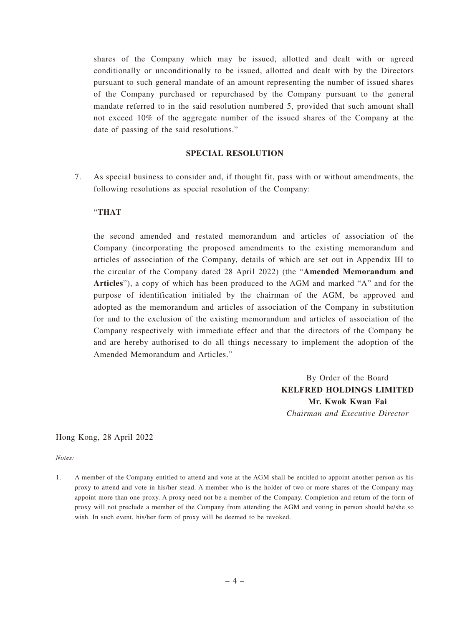shares of the Company which may be issued, allotted and dealt with or agreed conditionally or unconditionally to be issued, allotted and dealt with by the Directors pursuant to such general mandate of an amount representing the number of issued shares of the Company purchased or repurchased by the Company pursuant to the general mandate referred to in the said resolution numbered 5, provided that such amount shall not exceed 10% of the aggregate number of the issued shares of the Company at the date of passing of the said resolutions."

#### **SPECIAL RESOLUTION**

7. As special business to consider and, if thought fit, pass with or without amendments, the following resolutions as special resolution of the Company:

### "**THAT**

the second amended and restated memorandum and articles of association of the Company (incorporating the proposed amendments to the existing memorandum and articles of association of the Company, details of which are set out in Appendix III to the circular of the Company dated 28 April 2022) (the "**Amended Memorandum and Articles**"), a copy of which has been produced to the AGM and marked "A" and for the purpose of identification initialed by the chairman of the AGM, be approved and adopted as the memorandum and articles of association of the Company in substitution for and to the exclusion of the existing memorandum and articles of association of the Company respectively with immediate effect and that the directors of the Company be and are hereby authorised to do all things necessary to implement the adoption of the Amended Memorandum and Articles."

> By Order of the Board **KELFRED HOLDINGS LIMITED Mr. Kwok Kwan Fai** *Chairman and Executive Director*

Hong Kong, 28 April 2022

*Notes:*

1. A member of the Company entitled to attend and vote at the AGM shall be entitled to appoint another person as his proxy to attend and vote in his/her stead. A member who is the holder of two or more shares of the Company may appoint more than one proxy. A proxy need not be a member of the Company. Completion and return of the form of proxy will not preclude a member of the Company from attending the AGM and voting in person should he/she so wish. In such event, his/her form of proxy will be deemed to be revoked.